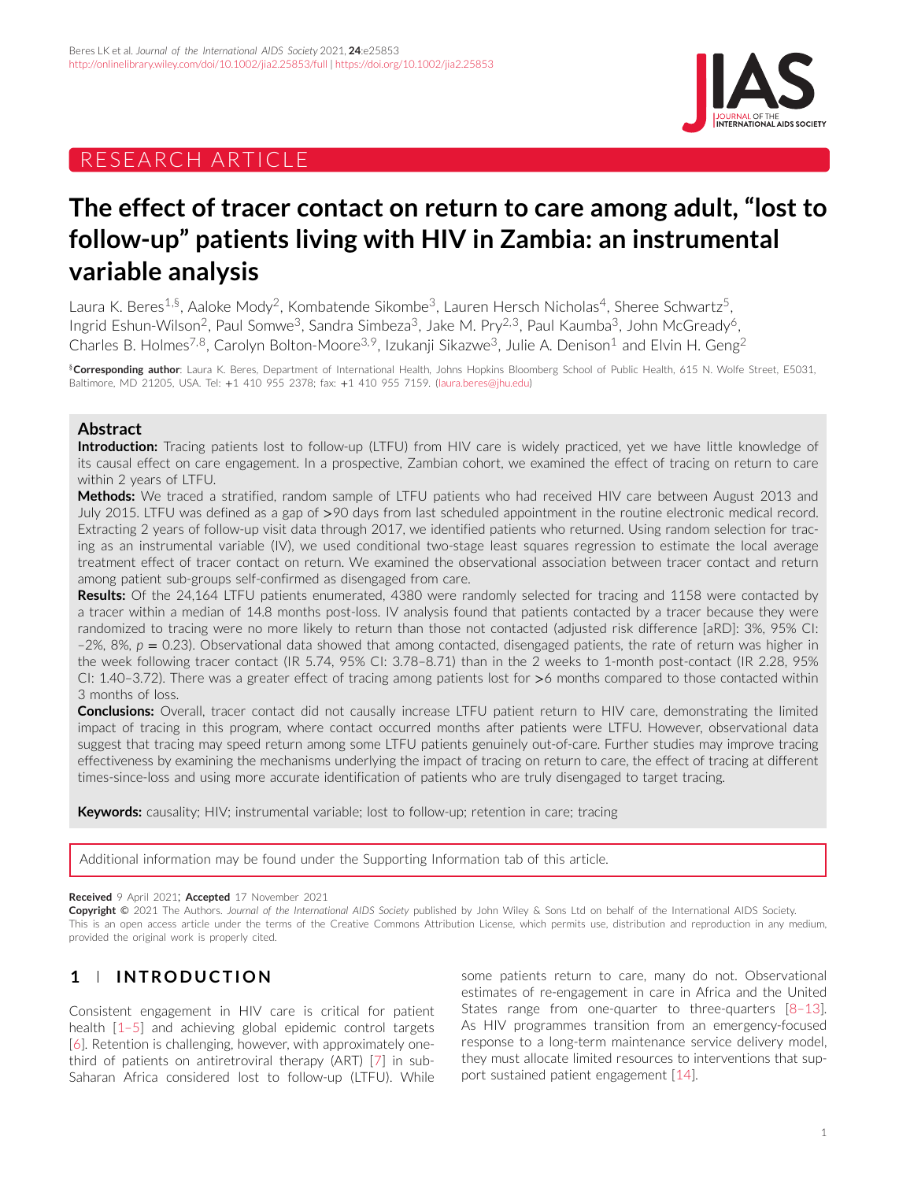# RESEARCH ARTICLE



# **The effect of tracer contact on return to care among adult, "lost to follow-up" patients living with HIV in Zambia: an instrumental variable analysis**

Laura K. Beres<sup>1,§</sup>, Aaloke Mody<sup>2</sup>, Kombatende Sikombe<sup>3</sup>, Lauren Hersch Nicholas<sup>4</sup>, Sheree Schwartz<sup>5</sup>, Ingrid Eshun-Wilson<sup>2</sup>, Paul Somwe<sup>3</sup>, Sandra Simbeza<sup>3</sup>, Jake M. Pry<sup>2,3</sup>, Paul Kaumba<sup>3</sup>, John McGready<sup>6</sup>, Charles B. Holmes<sup>7,8</sup>, Carolyn Bolton-Moore<sup>3,9</sup>, Izukanji Sikazwe<sup>3</sup>, Julie A. Denison<sup>1</sup> and Elvin H. Geng<sup>2</sup>

§**Corresponding author**: Laura K. Beres, Department of International Health, Johns Hopkins Bloomberg School of Public Health, 615 N. Wolfe Street, E5031, Baltimore, MD 21205, USA. Tel: +1 410 955 2378; fax: +1 410 955 7159. [\(laura.beres@jhu.edu\)](mailto:laura.beres@jhu.edu)

## **Abstract**

**Introduction:** Tracing patients lost to follow-up (LTFU) from HIV care is widely practiced, yet we have little knowledge of its causal effect on care engagement. In a prospective, Zambian cohort, we examined the effect of tracing on return to care within 2 years of LTFU.

**Methods:** We traced a stratified, random sample of LTFU patients who had received HIV care between August 2013 and July 2015. LTFU was defined as a gap of *>*90 days from last scheduled appointment in the routine electronic medical record. Extracting 2 years of follow-up visit data through 2017, we identified patients who returned. Using random selection for tracing as an instrumental variable (IV), we used conditional two-stage least squares regression to estimate the local average treatment effect of tracer contact on return. We examined the observational association between tracer contact and return among patient sub-groups self-confirmed as disengaged from care.

**Results:** Of the 24,164 LTFU patients enumerated, 4380 were randomly selected for tracing and 1158 were contacted by a tracer within a median of 14.8 months post-loss. IV analysis found that patients contacted by a tracer because they were randomized to tracing were no more likely to return than those not contacted (adjusted risk difference [aRD]: 3%, 95% CI:  $-2\%$ , 8%,  $p = 0.23$ ). Observational data showed that among contacted, disengaged patients, the rate of return was higher in the week following tracer contact (IR 5.74, 95% CI: 3.78–8.71) than in the 2 weeks to 1-month post-contact (IR 2.28, 95% CI: 1.40–3.72). There was a greater effect of tracing among patients lost for *>*6 months compared to those contacted within 3 months of loss.

**Conclusions:** Overall, tracer contact did not causally increase LTFU patient return to HIV care, demonstrating the limited impact of tracing in this program, where contact occurred months after patients were LTFU. However, observational data suggest that tracing may speed return among some LTFU patients genuinely out-of-care. Further studies may improve tracing effectiveness by examining the mechanisms underlying the impact of tracing on return to care, the effect of tracing at different times-since-loss and using more accurate identification of patients who are truly disengaged to target tracing.

**Keywords:** causality; HIV; instrumental variable; lost to follow-up; retention in care; tracing

Additional information may be found under the Supporting Information tab of this article.

**Received** 9 April 2021; **Accepted** 17 November 2021

**Copyright** © 2021 The Authors. *Journal of the International AIDS Society* published by John Wiley & Sons Ltd on behalf of the International AIDS Society. This is an open access article under the terms of the [Creative Commons Attribution](http://creativecommons.org/licenses/by/4.0/) License, which permits use, distribution and reproduction in any medium, provided the original work is properly cited.

# **1 INTRODUCTION**

Consistent engagement in HIV care is critical for patient health [\[1–5\]](#page-8-0) and achieving global epidemic control targets [\[6\]](#page-8-0). Retention is challenging, however, with approximately onethird of patients on antiretroviral therapy (ART) [\[7\]](#page-8-0) in sub-Saharan Africa considered lost to follow-up (LTFU). While some patients return to care, many do not. Observational estimates of re-engagement in care in Africa and the United States range from one-quarter to three-quarters [\[8–13\]](#page-8-0). As HIV programmes transition from an emergency-focused response to a long-term maintenance service delivery model, they must allocate limited resources to interventions that support sustained patient engagement [\[14\]](#page-8-0).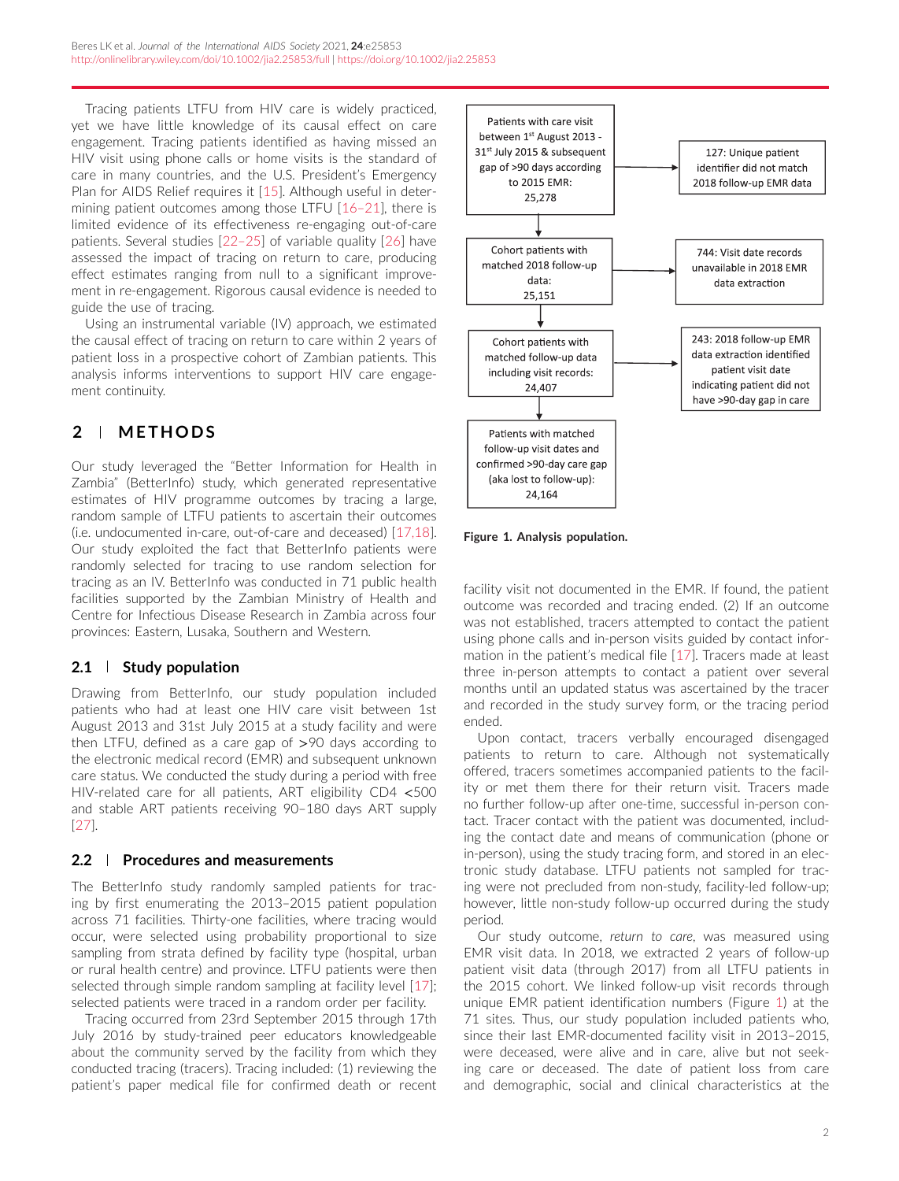<span id="page-1-0"></span>Tracing patients LTFU from HIV care is widely practiced, yet we have little knowledge of its causal effect on care engagement. Tracing patients identified as having missed an HIV visit using phone calls or home visits is the standard of care in many countries, and the U.S. President's Emergency Plan for AIDS Relief requires it [\[15\]](#page-8-0). Although useful in determining patient outcomes among those LTFU [\[16–21\]](#page-8-0), there is limited evidence of its effectiveness re-engaging out-of-care patients. Several studies [\[22–25\]](#page-9-0) of variable quality [\[26\]](#page-9-0) have assessed the impact of tracing on return to care, producing effect estimates ranging from null to a significant improvement in re-engagement. Rigorous causal evidence is needed to guide the use of tracing.

Using an instrumental variable (IV) approach, we estimated the causal effect of tracing on return to care within 2 years of patient loss in a prospective cohort of Zambian patients. This analysis informs interventions to support HIV care engagement continuity.

# **2 METHODS**

Our study leveraged the "Better Information for Health in Zambia" (BetterInfo) study, which generated representative estimates of HIV programme outcomes by tracing a large, random sample of LTFU patients to ascertain their outcomes (i.e. undocumented in-care, out-of-care and deceased) [\[17,18\]](#page-9-0). Our study exploited the fact that BetterInfo patients were randomly selected for tracing to use random selection for tracing as an IV. BetterInfo was conducted in 71 public health facilities supported by the Zambian Ministry of Health and Centre for Infectious Disease Research in Zambia across four provinces: Eastern, Lusaka, Southern and Western.

# **2.1 Study population**

Drawing from BetterInfo, our study population included patients who had at least one HIV care visit between 1st August 2013 and 31st July 2015 at a study facility and were then LTFU, defined as a care gap of *>*90 days according to the electronic medical record (EMR) and subsequent unknown care status. We conducted the study during a period with free HIV-related care for all patients, ART eligibility CD4 *<*500 and stable ART patients receiving 90–180 days ART supply [\[27\]](#page-9-0).

## **2.2 Procedures and measurements**

The BetterInfo study randomly sampled patients for tracing by first enumerating the 2013–2015 patient population across 71 facilities. Thirty-one facilities, where tracing would occur, were selected using probability proportional to size sampling from strata defined by facility type (hospital, urban or rural health centre) and province. LTFU patients were then selected through simple random sampling at facility level [\[17\]](#page-9-0); selected patients were traced in a random order per facility.

Tracing occurred from 23rd September 2015 through 17th July 2016 by study-trained peer educators knowledgeable about the community served by the facility from which they conducted tracing (tracers). Tracing included: (1) reviewing the patient's paper medical file for confirmed death or recent



**Figure 1. Analysis population.**

facility visit not documented in the EMR. If found, the patient outcome was recorded and tracing ended. (2) If an outcome was not established, tracers attempted to contact the patient using phone calls and in-person visits guided by contact information in the patient's medical file [\[17\]](#page-9-0). Tracers made at least three in-person attempts to contact a patient over several months until an updated status was ascertained by the tracer and recorded in the study survey form, or the tracing period ended.

Upon contact, tracers verbally encouraged disengaged patients to return to care. Although not systematically offered, tracers sometimes accompanied patients to the facility or met them there for their return visit. Tracers made no further follow-up after one-time, successful in-person contact. Tracer contact with the patient was documented, including the contact date and means of communication (phone or in-person), using the study tracing form, and stored in an electronic study database. LTFU patients not sampled for tracing were not precluded from non-study, facility-led follow-up; however, little non-study follow-up occurred during the study period.

Our study outcome, *return to care*, was measured using EMR visit data. In 2018, we extracted 2 years of follow-up patient visit data (through 2017) from all LTFU patients in the 2015 cohort. We linked follow-up visit records through unique EMR patient identification numbers (Figure 1) at the 71 sites. Thus, our study population included patients who, since their last EMR-documented facility visit in 2013–2015, were deceased, were alive and in care, alive but not seeking care or deceased. The date of patient loss from care and demographic, social and clinical characteristics at the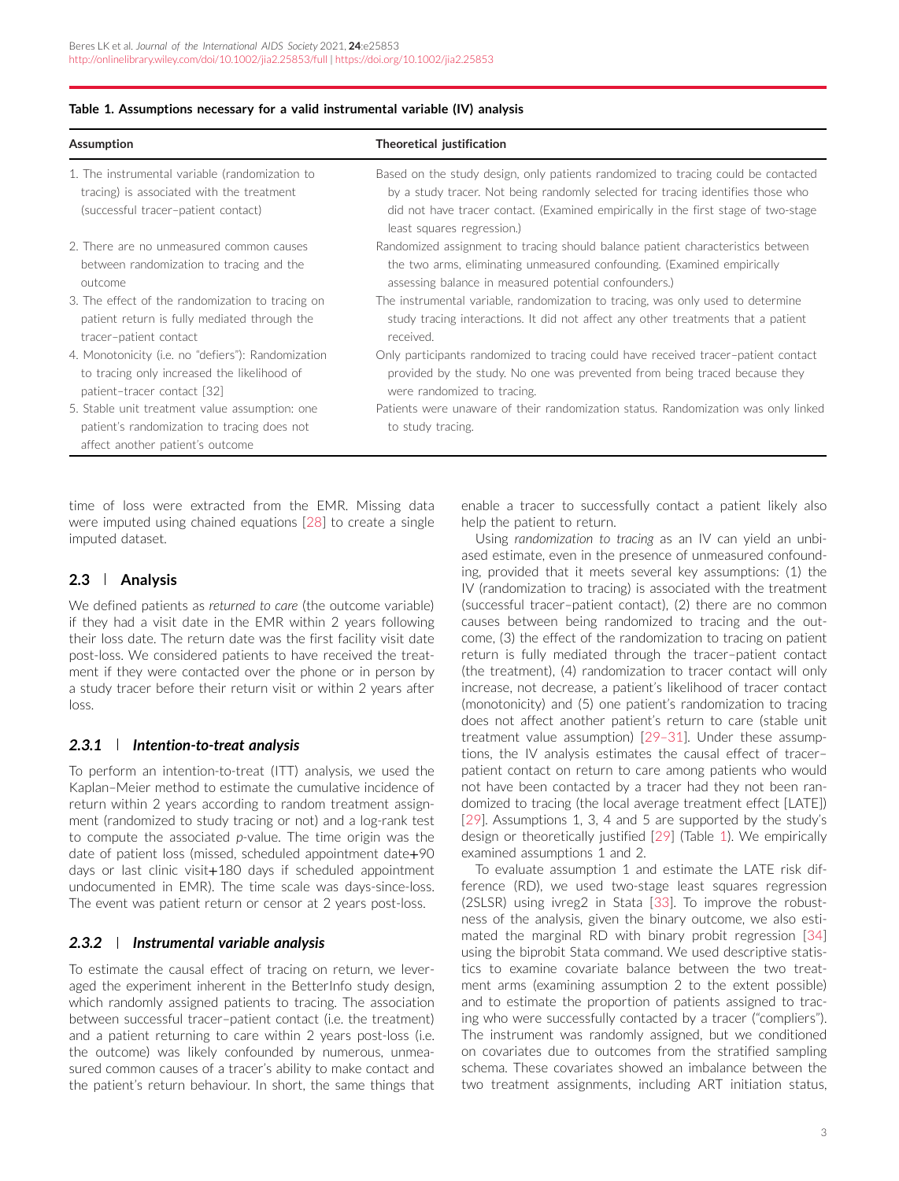| Assumption                                                                                                                         | Theoretical justification                                                                                                                                                                                                                                                                |
|------------------------------------------------------------------------------------------------------------------------------------|------------------------------------------------------------------------------------------------------------------------------------------------------------------------------------------------------------------------------------------------------------------------------------------|
| 1. The instrumental variable (randomization to<br>tracing) is associated with the treatment<br>(successful tracer-patient contact) | Based on the study design, only patients randomized to tracing could be contacted<br>by a study tracer. Not being randomly selected for tracing identifies those who<br>did not have tracer contact. (Examined empirically in the first stage of two-stage<br>least squares regression.) |
| 2. There are no unmeasured common causes                                                                                           | Randomized assignment to tracing should balance patient characteristics between                                                                                                                                                                                                          |
| between randomization to tracing and the                                                                                           | the two arms, eliminating unmeasured confounding. (Examined empirically                                                                                                                                                                                                                  |
| outcome                                                                                                                            | assessing balance in measured potential confounders.)                                                                                                                                                                                                                                    |
| 3. The effect of the randomization to tracing on                                                                                   | The instrumental variable, randomization to tracing, was only used to determine                                                                                                                                                                                                          |
| patient return is fully mediated through the                                                                                       | study tracing interactions. It did not affect any other treatments that a patient                                                                                                                                                                                                        |
| tracer-patient contact                                                                                                             | received.                                                                                                                                                                                                                                                                                |
| 4. Monotonicity (i.e. no "defiers"): Randomization                                                                                 | Only participants randomized to tracing could have received tracer-patient contact                                                                                                                                                                                                       |
| to tracing only increased the likelihood of                                                                                        | provided by the study. No one was prevented from being traced because they                                                                                                                                                                                                               |
| patient-tracer contact [32]                                                                                                        | were randomized to tracing.                                                                                                                                                                                                                                                              |
| 5. Stable unit treatment value assumption: one<br>patient's randomization to tracing does not<br>affect another patient's outcome  | Patients were unaware of their randomization status. Randomization was only linked<br>to study tracing.                                                                                                                                                                                  |

#### **Table 1. Assumptions necessary for a valid instrumental variable (IV) analysis**

time of loss were extracted from the EMR. Missing data were imputed using chained equations [\[28\]](#page-9-0) to create a single imputed dataset.

## **2.3 Analysis**

We defined patients as *returned to care* (the outcome variable) if they had a visit date in the EMR within 2 years following their loss date. The return date was the first facility visit date post-loss. We considered patients to have received the treatment if they were contacted over the phone or in person by a study tracer before their return visit or within 2 years after loss.

#### *2.3.1 Intention-to-treat analysis*

To perform an intention-to-treat (ITT) analysis, we used the Kaplan–Meier method to estimate the cumulative incidence of return within 2 years according to random treatment assignment (randomized to study tracing or not) and a log-rank test to compute the associated *p*-value. The time origin was the date of patient loss (missed, scheduled appointment date+90 days or last clinic visit+180 days if scheduled appointment undocumented in EMR). The time scale was days-since-loss. The event was patient return or censor at 2 years post-loss.

#### *2.3.2 Instrumental variable analysis*

To estimate the causal effect of tracing on return, we leveraged the experiment inherent in the BetterInfo study design, which randomly assigned patients to tracing. The association between successful tracer–patient contact (i.e. the treatment) and a patient returning to care within 2 years post-loss (i.e. the outcome) was likely confounded by numerous, unmeasured common causes of a tracer's ability to make contact and the patient's return behaviour. In short, the same things that enable a tracer to successfully contact a patient likely also help the patient to return.

Using *randomization to tracing* as an IV can yield an unbiased estimate, even in the presence of unmeasured confounding, provided that it meets several key assumptions: (1) the IV (randomization to tracing) is associated with the treatment (successful tracer–patient contact), (2) there are no common causes between being randomized to tracing and the outcome, (3) the effect of the randomization to tracing on patient return is fully mediated through the tracer–patient contact (the treatment), (4) randomization to tracer contact will only increase, not decrease, a patient's likelihood of tracer contact (monotonicity) and (5) one patient's randomization to tracing does not affect another patient's return to care (stable unit treatment value assumption) [\[29–31\]](#page-9-0). Under these assumptions, the IV analysis estimates the causal effect of tracer– patient contact on return to care among patients who would not have been contacted by a tracer had they not been randomized to tracing (the local average treatment effect [LATE]) [\[29\]](#page-9-0). Assumptions 1, 3, 4 and 5 are supported by the study's design or theoretically justified [\[29\]](#page-9-0) (Table 1). We empirically examined assumptions 1 and 2.

To evaluate assumption 1 and estimate the LATE risk difference (RD), we used two-stage least squares regression (2SLSR) using ivreg2 in Stata [\[33\]](#page-9-0). To improve the robustness of the analysis, given the binary outcome, we also estimated the marginal RD with binary probit regression [\[34\]](#page-9-0) using the biprobit Stata command. We used descriptive statistics to examine covariate balance between the two treatment arms (examining assumption 2 to the extent possible) and to estimate the proportion of patients assigned to tracing who were successfully contacted by a tracer ("compliers"). The instrument was randomly assigned, but we conditioned on covariates due to outcomes from the stratified sampling schema. These covariates showed an imbalance between the two treatment assignments, including ART initiation status,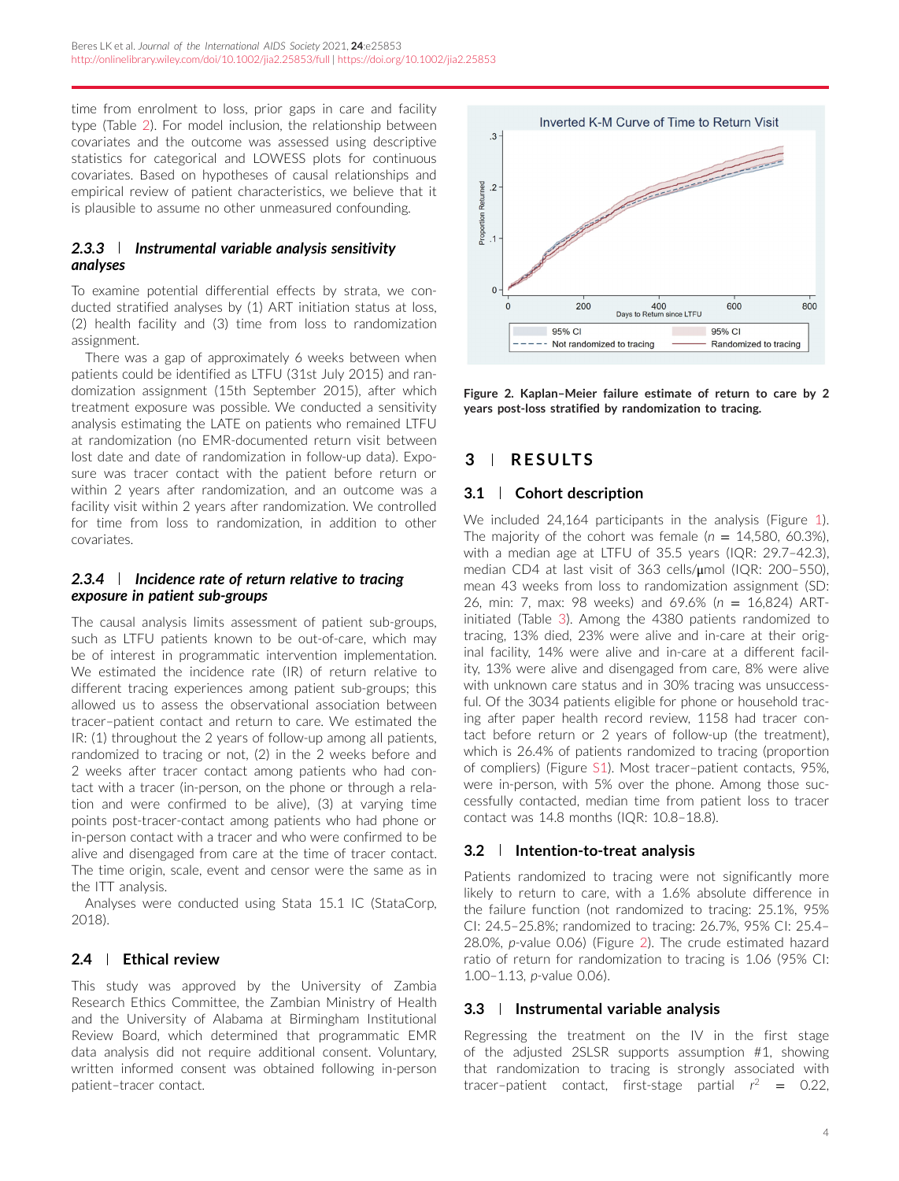time from enrolment to loss, prior gaps in care and facility type (Table [2\)](#page-4-0). For model inclusion, the relationship between covariates and the outcome was assessed using descriptive statistics for categorical and LOWESS plots for continuous covariates. Based on hypotheses of causal relationships and empirical review of patient characteristics, we believe that it is plausible to assume no other unmeasured confounding.

## *2.3.3 Instrumental variable analysis sensitivity analyses*

To examine potential differential effects by strata, we conducted stratified analyses by (1) ART initiation status at loss, (2) health facility and (3) time from loss to randomization assignment.

There was a gap of approximately 6 weeks between when patients could be identified as LTFU (31st July 2015) and randomization assignment (15th September 2015), after which treatment exposure was possible. We conducted a sensitivity analysis estimating the LATE on patients who remained LTFU at randomization (no EMR-documented return visit between lost date and date of randomization in follow-up data). Exposure was tracer contact with the patient before return or within 2 years after randomization, and an outcome was a facility visit within 2 years after randomization. We controlled for time from loss to randomization, in addition to other covariates.

## *2.3.4 Incidence rate of return relative to tracing exposure in patient sub-groups*

The causal analysis limits assessment of patient sub-groups, such as LTFU patients known to be out-of-care, which may be of interest in programmatic intervention implementation. We estimated the incidence rate (IR) of return relative to different tracing experiences among patient sub-groups; this allowed us to assess the observational association between tracer–patient contact and return to care. We estimated the IR: (1) throughout the 2 years of follow-up among all patients, randomized to tracing or not, (2) in the 2 weeks before and 2 weeks after tracer contact among patients who had contact with a tracer (in-person, on the phone or through a relation and were confirmed to be alive), (3) at varying time points post-tracer-contact among patients who had phone or in-person contact with a tracer and who were confirmed to be alive and disengaged from care at the time of tracer contact. The time origin, scale, event and censor were the same as in the ITT analysis.

Analyses were conducted using Stata 15.1 IC (StataCorp, 2018).

# **2.4 Ethical review**

This study was approved by the University of Zambia Research Ethics Committee, the Zambian Ministry of Health and the University of Alabama at Birmingham Institutional Review Board, which determined that programmatic EMR data analysis did not require additional consent. Voluntary, written informed consent was obtained following in-person patient–tracer contact.



**Figure 2. Kaplan–Meier failure estimate of return to care by 2 years post-loss stratified by randomization to tracing.**

# **3 RESULTS**

# **3.1 Cohort description**

We included 24,164 participants in the analysis (Figure [1\)](#page-1-0). The majority of the cohort was female  $(n = 14,580, 60.3\%)$ , with a median age at LTFU of 35.5 years (IQR: 29.7–42.3), median CD4 at last visit of 363 cells/μmol (IQR: 200–550), mean 43 weeks from loss to randomization assignment (SD: 26, min: 7, max: 98 weeks) and 69.6% (*n* = 16,824) ARTinitiated (Table [3\)](#page-5-0). Among the 4380 patients randomized to tracing, 13% died, 23% were alive and in-care at their original facility, 14% were alive and in-care at a different facility, 13% were alive and disengaged from care, 8% were alive with unknown care status and in 30% tracing was unsuccessful. Of the 3034 patients eligible for phone or household tracing after paper health record review, 1158 had tracer contact before return or 2 years of follow-up (the treatment), which is 26.4% of patients randomized to tracing (proportion of compliers) (Figure S1). Most tracer–patient contacts, 95%, were in-person, with 5% over the phone. Among those successfully contacted, median time from patient loss to tracer contact was 14.8 months (IQR: 10.8–18.8).

# **3.2 Intention-to-treat analysis**

Patients randomized to tracing were not significantly more likely to return to care, with a 1.6% absolute difference in the failure function (not randomized to tracing: 25.1%, 95% CI: 24.5–25.8%; randomized to tracing: 26.7%, 95% CI: 25.4– 28.0%, *p*-value 0.06) (Figure 2). The crude estimated hazard ratio of return for randomization to tracing is 1.06 (95% CI: 1.00–1.13, *p*-value 0.06).

# **3.3 Instrumental variable analysis**

Regressing the treatment on the IV in the first stage of the adjusted 2SLSR supports assumption #1, showing that randomization to tracing is strongly associated with tracer–patient contact, first-stage partial  $r^2 = 0.22$ ,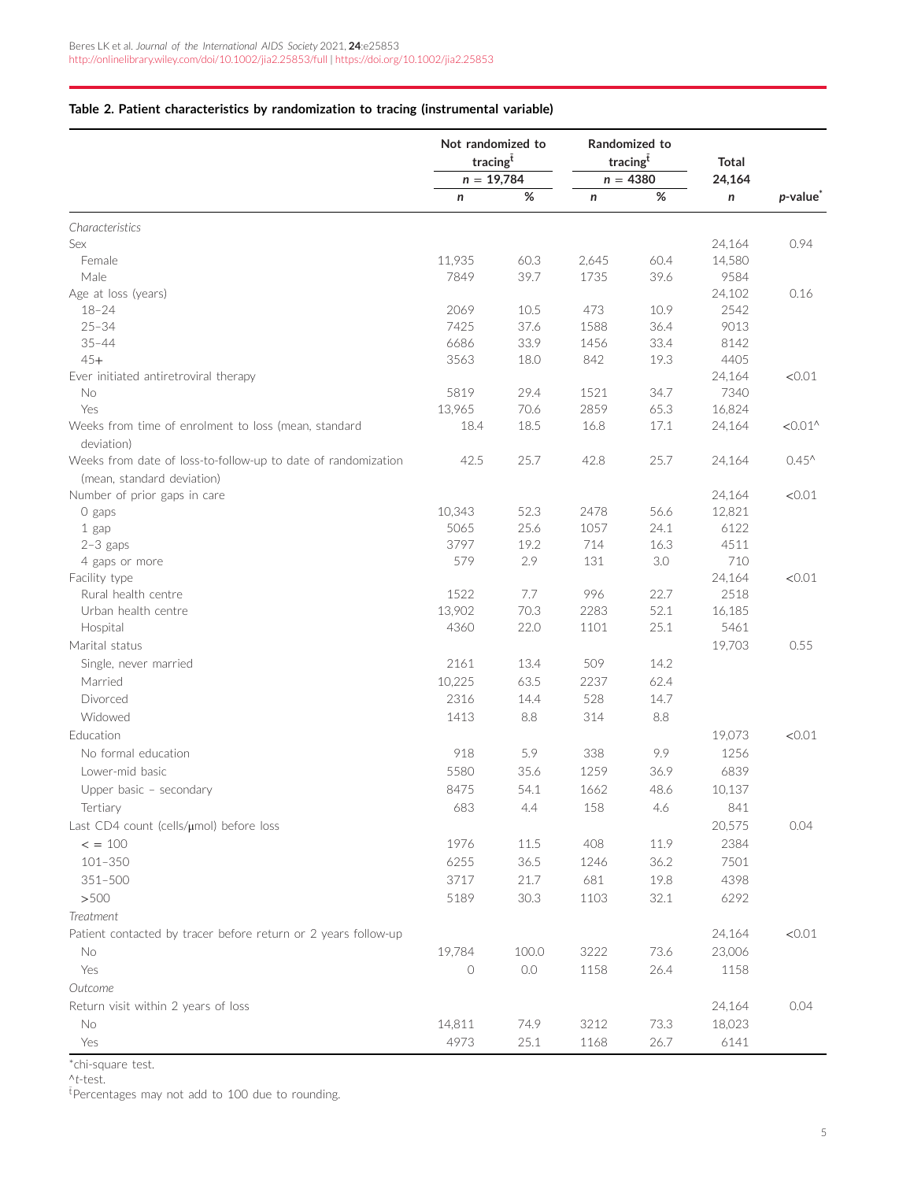#### <span id="page-4-0"></span>**Table 2. Patient characteristics by randomization to tracing (instrumental variable)**

|                                                                    | Not randomized to<br>tracingt |          | Randomized to<br>tracingt |      | <b>Total</b> |                      |
|--------------------------------------------------------------------|-------------------------------|----------|---------------------------|------|--------------|----------------------|
|                                                                    | $n = 19,784$                  |          | $n = 4380$                |      | 24,164       |                      |
|                                                                    | n                             | $\%$     | n                         | $\%$ | n            | p-value <sup>*</sup> |
| Characteristics                                                    |                               |          |                           |      |              |                      |
| Sex                                                                |                               |          |                           |      | 24,164       | 0.94                 |
| Female                                                             | 11,935                        | 60.3     | 2,645                     | 60.4 | 14,580       |                      |
| Male                                                               | 7849                          | 39.7     | 1735                      | 39.6 | 9584         |                      |
| Age at loss (years)                                                |                               |          |                           |      | 24,102       | 0.16                 |
| $18 - 24$                                                          | 2069                          | 10.5     | 473                       | 10.9 | 2542         |                      |
| $25 - 34$                                                          | 7425                          | 37.6     | 1588                      | 36.4 | 9013         |                      |
| $35 - 44$                                                          | 6686                          | 33.9     | 1456                      | 33.4 | 8142         |                      |
| $45+$                                                              | 3563                          | 18.0     | 842                       | 19.3 | 4405         |                      |
| Ever initiated antiretroviral therapy                              |                               |          |                           |      | 24,164       | < 0.01               |
| No                                                                 | 5819                          | 29.4     | 1521                      | 34.7 | 7340         |                      |
| Yes                                                                | 13,965                        | 70.6     | 2859                      | 65.3 | 16,824       |                      |
| Weeks from time of enrolment to loss (mean, standard<br>deviation) | 18.4                          | 18.5     | 16.8                      | 17.1 | 24,164       | $< 0.01$ ^           |
| Weeks from date of loss-to-follow-up to date of randomization      | 42.5                          | 25.7     | 42.8                      | 25.7 | 24,164       | $0.45^{\prime}$      |
| (mean, standard deviation)                                         |                               |          |                           |      |              |                      |
| Number of prior gaps in care                                       |                               |          |                           |      | 24,164       | < 0.01               |
| O gaps                                                             | 10,343                        | 52.3     | 2478                      | 56.6 | 12,821       |                      |
| 1 gap                                                              | 5065                          | 25.6     | 1057                      | 24.1 | 6122         |                      |
| $2-3$ gaps                                                         | 3797                          | 19.2     | 714                       | 16.3 | 4511         |                      |
| 4 gaps or more                                                     | 579                           | 2.9      | 131                       | 3.0  | 710          |                      |
| Facility type                                                      |                               |          |                           |      | 24,164       | < 0.01               |
| Rural health centre                                                | 1522                          | 7.7      | 996                       | 22.7 | 2518         |                      |
| Urban health centre                                                | 13,902                        | 70.3     | 2283                      | 52.1 | 16,185       |                      |
| Hospital                                                           | 4360                          | 22.0     | 1101                      | 25.1 | 5461         |                      |
| Marital status                                                     |                               |          |                           |      | 19,703       | 0.55                 |
| Single, never married                                              | 2161                          | 13.4     | 509                       | 14.2 |              |                      |
| Married                                                            | 10,225                        | 63.5     | 2237                      | 62.4 |              |                      |
| Divorced                                                           | 2316                          | 14.4     | 528                       | 14.7 |              |                      |
| Widowed                                                            | 1413                          | 8.8      | 314                       | 8.8  |              |                      |
| Education                                                          |                               |          |                           |      | 19,073       | < 0.01               |
|                                                                    |                               |          |                           |      |              |                      |
| No formal education                                                | 918                           | 5.9      | 338                       | 9.9  | 1256         |                      |
| Lower-mid basic                                                    | 5580                          | 35.6     | 1259                      | 36.9 | 6839         |                      |
| Upper basic - secondary                                            | 8475                          | 54.1     | 1662                      | 48.6 | 10,137       |                      |
| Tertiary                                                           | 683                           | 4.4      | 158                       | 4.6  | 841          |                      |
| Last CD4 count (cells/µmol) before loss                            |                               |          |                           |      | 20,575       | 0.04                 |
| $\le$ = 100                                                        | 1976                          | 11.5     | 408                       | 11.9 | 2384         |                      |
| $101 - 350$                                                        | 6255                          | 36.5     | 1246                      | 36.2 | 7501         |                      |
| $351 - 500$                                                        | 3717                          | 21.7     | 681                       | 19.8 | 4398         |                      |
| >500                                                               | 5189                          | $30.3\,$ | 1103                      | 32.1 | 6292         |                      |
| Treatment                                                          |                               |          |                           |      |              |                      |
| Patient contacted by tracer before return or 2 years follow-up     |                               |          |                           |      | 24,164       | < 0.01               |
| No                                                                 | 19,784                        | 100.0    | 3222                      | 73.6 | 23,006       |                      |
| Yes                                                                | $\circ$                       | $0.0\,$  | 1158                      | 26.4 | 1158         |                      |
|                                                                    |                               |          |                           |      |              |                      |
| Outcome                                                            |                               |          |                           |      |              |                      |
| Return visit within 2 years of loss                                |                               |          |                           |      | 24,164       | 0.04                 |
| No                                                                 | 14,811                        | 74.9     | 3212                      | 73.3 | 18,023       |                      |
| Yes                                                                | 4973                          | 25.1     | 1168                      | 26.7 | 6141         |                      |

\*chi-square test.

<sup>∧</sup>*t*-test.

 $^{\rm \bar t}$ Percentages may not add to 100 due to rounding.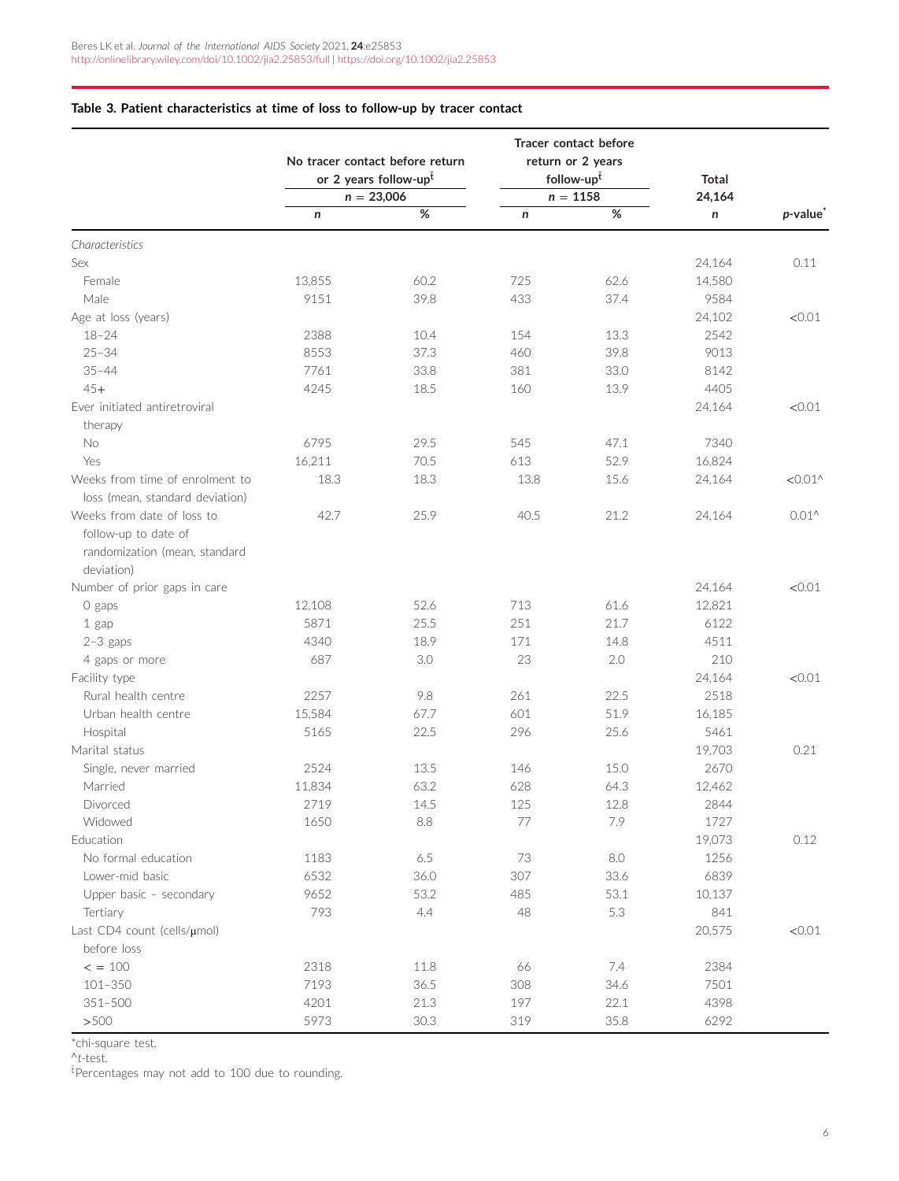|                                                                     | No tracer contact before return<br>or 2 years follow-upt<br>$n = 23,006$ |         | Tracer contact before<br>return or 2 years<br>follow-upt<br>$n = 1158$ |         | <b>Total</b> |                              |
|---------------------------------------------------------------------|--------------------------------------------------------------------------|---------|------------------------------------------------------------------------|---------|--------------|------------------------------|
|                                                                     | n                                                                        | $\%$    | n                                                                      | $\%$    | 24,164<br>n  | <i>p</i> -value <sup>*</sup> |
| Characteristics                                                     |                                                                          |         |                                                                        |         |              |                              |
| Sex                                                                 |                                                                          |         |                                                                        |         | 24,164       | 0.11                         |
| Female                                                              | 13,855                                                                   | 60.2    | 725                                                                    | 62.6    | 14,580       |                              |
| Male                                                                | 9151                                                                     | 39.8    | 433                                                                    | 37.4    | 9584         |                              |
| Age at loss (years)                                                 |                                                                          |         |                                                                        |         | 24,102       | < 0.01                       |
| $18 - 24$                                                           | 2388                                                                     | 10.4    | 154                                                                    | 13.3    | 2542         |                              |
| $25 - 34$                                                           | 8553                                                                     | 37.3    | 460                                                                    | 39.8    | 9013         |                              |
| $35 - 44$                                                           | 7761                                                                     | 33.8    | 381                                                                    | 33.0    | 8142         |                              |
| $45+$                                                               | 4245                                                                     | 18.5    | 160                                                                    | 13.9    | 4405         |                              |
| Ever initiated antiretroviral                                       |                                                                          |         |                                                                        |         | 24,164       | < 0.01                       |
| therapy                                                             |                                                                          |         |                                                                        |         |              |                              |
| No                                                                  | 6795                                                                     | 29.5    | 545                                                                    | 47.1    | 7340         |                              |
| Yes                                                                 | 16,211                                                                   | 70.5    | 613                                                                    | 52.9    | 16,824       |                              |
| Weeks from time of enrolment to<br>loss (mean, standard deviation)  | 18.3                                                                     | 18.3    | 13.8                                                                   | 15.6    | 24,164       | $< 0.01$ ^                   |
| Weeks from date of loss to                                          | 42.7                                                                     | 25.9    | 40.5                                                                   | 21.2    | 24,164       | $0.01^$                      |
| follow-up to date of<br>randomization (mean, standard<br>deviation) |                                                                          |         |                                                                        |         |              |                              |
| Number of prior gaps in care                                        |                                                                          |         |                                                                        |         | 24,164       | < 0.01                       |
| O gaps                                                              | 12,108                                                                   | 52.6    | 713                                                                    | 61.6    | 12,821       |                              |
| 1 gap                                                               | 5871                                                                     | 25.5    | 251                                                                    | 21.7    | 6122         |                              |
| $2-3$ gaps                                                          | 4340                                                                     | 18.9    | 171                                                                    | 14.8    | 4511         |                              |
| 4 gaps or more                                                      | 687                                                                      | 3.0     | 23                                                                     | 2.0     | 210          |                              |
| Facility type                                                       |                                                                          |         |                                                                        |         | 24,164       | < 0.01                       |
| Rural health centre                                                 | 2257                                                                     | 9.8     | 261                                                                    | 22.5    | 2518         |                              |
| Urban health centre                                                 | 15,584                                                                   | 67.7    | 601                                                                    | 51.9    | 16,185       |                              |
| Hospital                                                            | 5165                                                                     | 22.5    | 296                                                                    | 25.6    | 5461         |                              |
| Marital status                                                      |                                                                          |         |                                                                        |         | 19,703       | 0.21                         |
| Single, never married                                               | 2524                                                                     | 13.5    | 146                                                                    | 15.0    | 2670         |                              |
| Married                                                             | 11,834                                                                   | 63.2    | 628                                                                    | 64.3    | 12,462       |                              |
| Divorced                                                            | 2719                                                                     | 14.5    | 125                                                                    | 12.8    | 2844         |                              |
| Widowed                                                             | 1650                                                                     | 8.8     | 77                                                                     | 7.9     | 1727         |                              |
| Education                                                           |                                                                          |         |                                                                        |         | 19,073       | 0.12                         |
| No formal education                                                 | 1183                                                                     | $6.5\,$ | 73                                                                     | $8.0\,$ | 1256         |                              |
| Lower-mid basic                                                     | 6532                                                                     | 36.0    | 307                                                                    | 33.6    | 6839         |                              |
| Upper basic - secondary                                             | 9652                                                                     | 53.2    | 485                                                                    | 53.1    | 10,137       |                              |
| Tertiary                                                            | 793                                                                      | 4.4     | 48                                                                     | 5.3     | 841          |                              |
| Last CD4 count (cells/µmol)                                         |                                                                          |         |                                                                        |         | 20,575       | < 0.01                       |
| before loss                                                         |                                                                          |         |                                                                        |         |              |                              |
| $\lt$ = 100                                                         | 2318                                                                     | 11.8    | 66                                                                     | 7.4     | 2384         |                              |
| $101 - 350$                                                         | 7193                                                                     | 36.5    | 308                                                                    | 34.6    | 7501         |                              |
| $351 - 500$                                                         | 4201                                                                     | 21.3    | 197                                                                    | 22.1    | 4398         |                              |
| >500                                                                | 5973                                                                     | 30.3    | 319                                                                    | 35.8    | 6292         |                              |

## <span id="page-5-0"></span>**Table 3. Patient characteristics at time of loss to follow-up by tracer contact**

\*chi-square test.

<sup>∧</sup>*t*-test.

 $^{\rm \bar t}$ Percentages may not add to 100 due to rounding.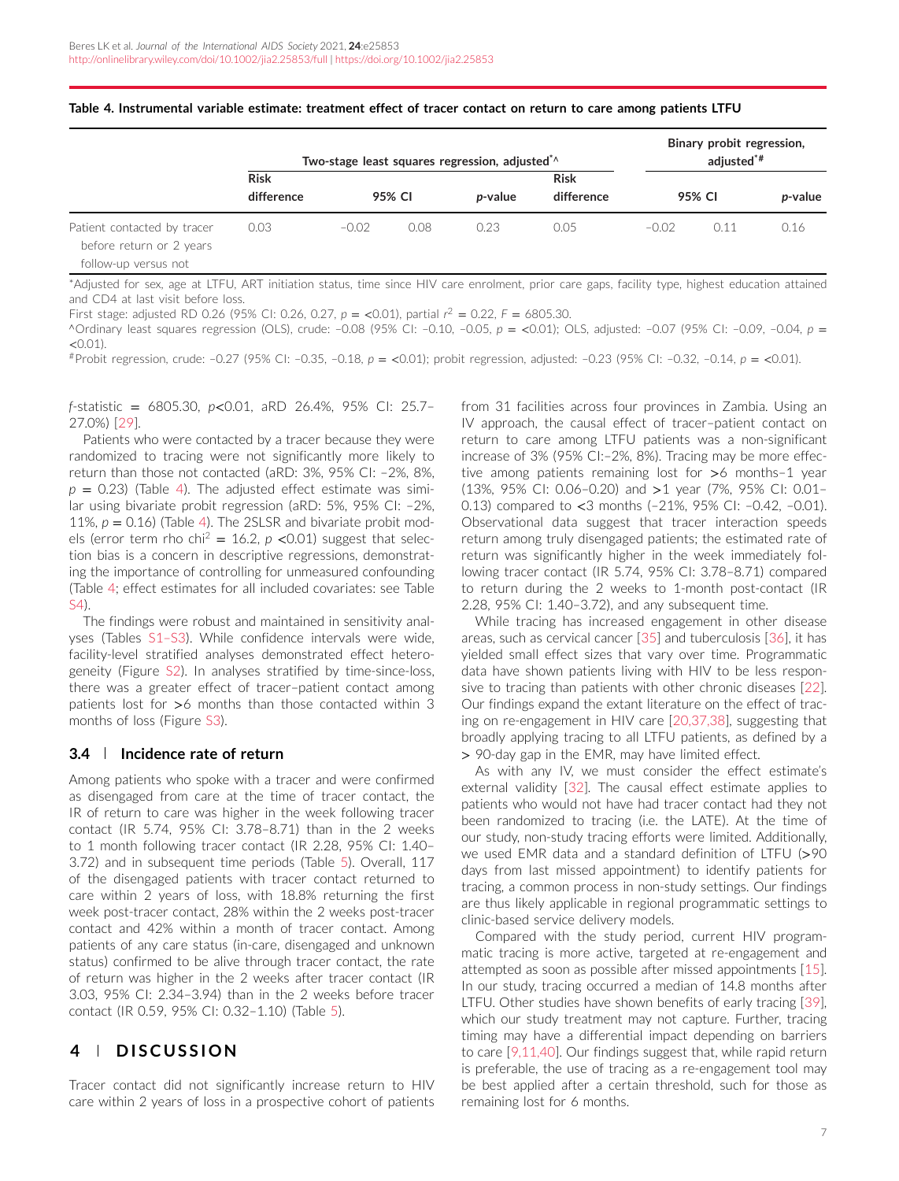|                                                                                 | Two-stage least squares regression, adjusted <sup>*</sup> |         |        |                 | Binary probit regression,<br>adjusted <sup>*#</sup> |         |        |                 |
|---------------------------------------------------------------------------------|-----------------------------------------------------------|---------|--------|-----------------|-----------------------------------------------------|---------|--------|-----------------|
|                                                                                 | <b>Risk</b>                                               |         |        |                 | <b>Risk</b>                                         |         |        |                 |
|                                                                                 | difference                                                |         | 95% CI | <i>p</i> -value | difference                                          |         | 95% CI | <i>p</i> -value |
| Patient contacted by tracer<br>before return or 2 years<br>follow-up versus not | 0.03                                                      | $-0.02$ | 0.08   | 0.23            | 0.05                                                | $-0.02$ | 0.11   | 0.16            |

#### **Table 4. Instrumental variable estimate: treatment effect of tracer contact on return to care among patients LTFU**

\*Adjusted for sex, age at LTFU, ART initiation status, time since HIV care enrolment, prior care gaps, facility type, highest education attained and CD4 at last visit before loss.

First stage: adjusted RD 0.26 (95% CI: 0.26, 0.27, *p* = *<*0.01), partial *r* <sup>2</sup> = 0.22, *F* = 6805.30.

<sup>∧</sup>Ordinary least squares regression (OLS), crude: –0.08 (95% CI: –0.10, –0.05, *p* = *<*0.01); OLS, adjusted: –0.07 (95% CI: –0.09, –0.04, *p* = *<*0.01).

#Probit regression, crude: –0.27 (95% CI: –0.35, –0.18, *p* = *<*0.01); probit regression, adjusted: –0.23 (95% CI: –0.32, –0.14, *p* = *<*0.01).

*f*-statistic = 6805.30, *p<*0.01, aRD 26.4%, 95% CI: 25.7– 27.0%) [\[29\]](#page-9-0).

Patients who were contacted by a tracer because they were randomized to tracing were not significantly more likely to return than those not contacted (aRD: 3%, 95% CI: –2%, 8%,  $p = 0.23$ ) (Table 4). The adjusted effect estimate was similar using bivariate probit regression (aRD: 5%, 95% CI: –2%, 11%,  $p = 0.16$ ) (Table 4). The 2SLSR and bivariate probit models (error term rho chi<sup>2</sup> = 16.2,  $p$  <0.01) suggest that selection bias is a concern in descriptive regressions, demonstrating the importance of controlling for unmeasured confounding (Table 4; effect estimates for all included covariates: see Table S4).

The findings were robust and maintained in sensitivity analyses (Tables S1–S3). While confidence intervals were wide, facility-level stratified analyses demonstrated effect heterogeneity (Figure S2). In analyses stratified by time-since-loss, there was a greater effect of tracer–patient contact among patients lost for *>*6 months than those contacted within 3 months of loss (Figure S3).

#### **3.4 Incidence rate of return**

Among patients who spoke with a tracer and were confirmed as disengaged from care at the time of tracer contact, the IR of return to care was higher in the week following tracer contact (IR 5.74, 95% CI: 3.78–8.71) than in the 2 weeks to 1 month following tracer contact (IR 2.28, 95% CI: 1.40– 3.72) and in subsequent time periods (Table [5\)](#page-7-0). Overall, 117 of the disengaged patients with tracer contact returned to care within 2 years of loss, with 18.8% returning the first week post-tracer contact, 28% within the 2 weeks post-tracer contact and 42% within a month of tracer contact. Among patients of any care status (in-care, disengaged and unknown status) confirmed to be alive through tracer contact, the rate of return was higher in the 2 weeks after tracer contact (IR 3.03, 95% CI: 2.34–3.94) than in the 2 weeks before tracer contact (IR 0.59, 95% CI: 0.32–1.10) (Table [5\)](#page-7-0).

## **4 DISCUSSION**

Tracer contact did not significantly increase return to HIV care within 2 years of loss in a prospective cohort of patients from 31 facilities across four provinces in Zambia. Using an IV approach, the causal effect of tracer–patient contact on return to care among LTFU patients was a non-significant increase of 3% (95% CI:–2%, 8%). Tracing may be more effective among patients remaining lost for *>*6 months–1 year (13%, 95% CI: 0.06–0.20) and *>*1 year (7%, 95% CI: 0.01– 0.13) compared to *<*3 months (–21%, 95% CI: –0.42, –0.01). Observational data suggest that tracer interaction speeds return among truly disengaged patients; the estimated rate of return was significantly higher in the week immediately following tracer contact (IR 5.74, 95% CI: 3.78–8.71) compared to return during the 2 weeks to 1-month post-contact (IR 2.28, 95% CI: 1.40–3.72), and any subsequent time.

While tracing has increased engagement in other disease areas, such as cervical cancer [\[35\]](#page-9-0) and tuberculosis [\[36\]](#page-9-0), it has yielded small effect sizes that vary over time. Programmatic data have shown patients living with HIV to be less responsive to tracing than patients with other chronic diseases [\[22\]](#page-9-0). Our findings expand the extant literature on the effect of tracing on re-engagement in HIV care [\[20,37,38\]](#page-9-0), suggesting that broadly applying tracing to all LTFU patients, as defined by a *>* 90-day gap in the EMR, may have limited effect.

As with any IV, we must consider the effect estimate's external validity [\[32\]](#page-9-0). The causal effect estimate applies to patients who would not have had tracer contact had they not been randomized to tracing (i.e. the LATE). At the time of our study, non-study tracing efforts were limited. Additionally, we used EMR data and a standard definition of LTFU (*>*90 days from last missed appointment) to identify patients for tracing, a common process in non-study settings. Our findings are thus likely applicable in regional programmatic settings to clinic-based service delivery models.

Compared with the study period, current HIV programmatic tracing is more active, targeted at re-engagement and attempted as soon as possible after missed appointments [\[15\]](#page-8-0). In our study, tracing occurred a median of 14.8 months after LTFU. Other studies have shown benefits of early tracing [\[39\]](#page-9-0), which our study treatment may not capture. Further, tracing timing may have a differential impact depending on barriers to care [\[9,11,40\]](#page-8-0). Our findings suggest that, while rapid return is preferable, the use of tracing as a re-engagement tool may be best applied after a certain threshold, such for those as remaining lost for 6 months.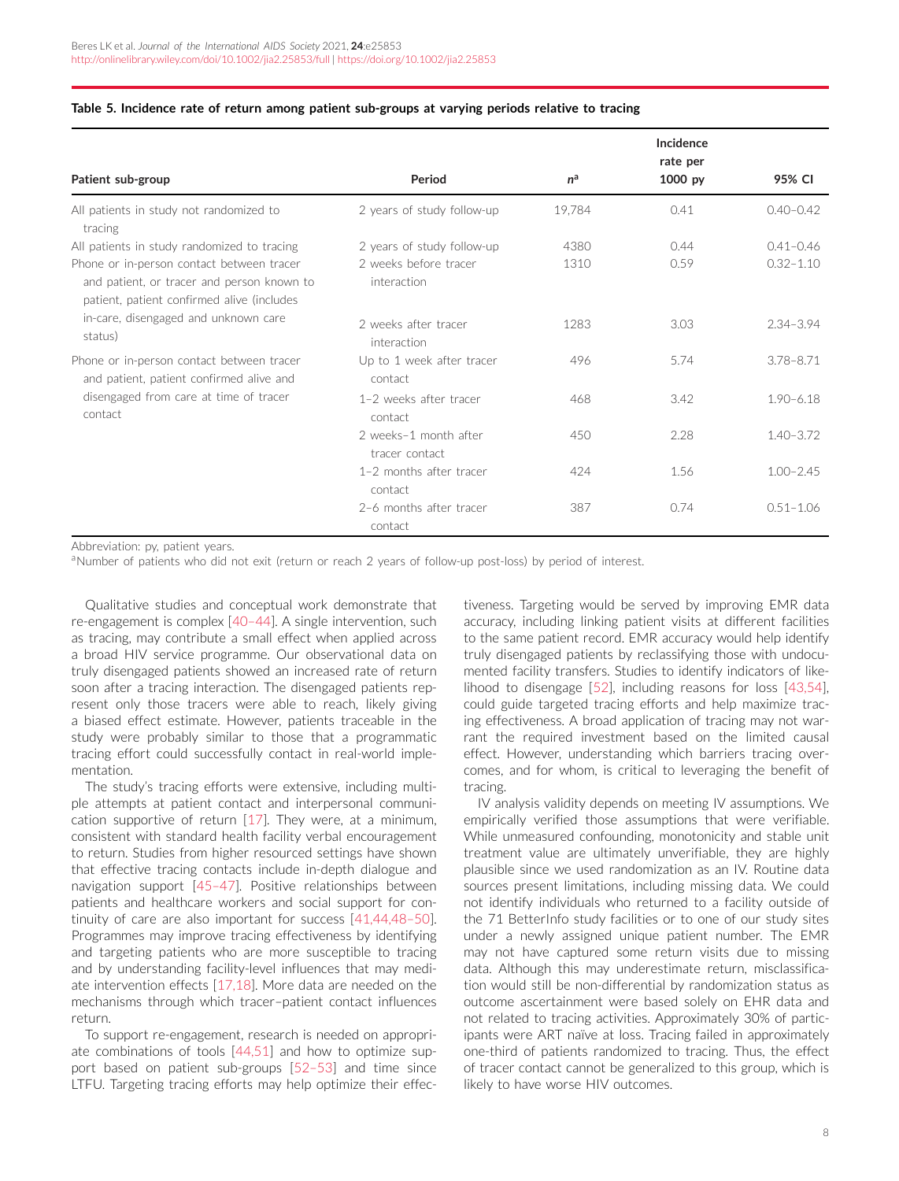|                                                                                                                                                                                          |                                         |        | Incidence<br>rate per |               |
|------------------------------------------------------------------------------------------------------------------------------------------------------------------------------------------|-----------------------------------------|--------|-----------------------|---------------|
| Patient sub-group                                                                                                                                                                        | Period                                  | $n^a$  | 1000 py               | 95% CI        |
| All patients in study not randomized to<br>tracing                                                                                                                                       | 2 years of study follow-up              | 19,784 | 0.41                  | $0.40 - 0.42$ |
| All patients in study randomized to tracing                                                                                                                                              | 2 years of study follow-up              | 4380   | 0.44                  | $0.41 - 0.46$ |
| Phone or in-person contact between tracer<br>and patient, or tracer and person known to<br>patient, patient confirmed alive (includes<br>in-care, disengaged and unknown care<br>status) | 2 weeks before tracer<br>interaction    | 1310   | 0.59                  | $0.32 - 1.10$ |
|                                                                                                                                                                                          | 2 weeks after tracer<br>interaction     | 1283   | 3.03                  | $2.34 - 3.94$ |
| Phone or in-person contact between tracer<br>and patient, patient confirmed alive and<br>disengaged from care at time of tracer<br>contact                                               | Up to 1 week after tracer<br>contact    | 496    | 5.74                  | $3.78 - 8.71$ |
|                                                                                                                                                                                          | 1-2 weeks after tracer<br>contact       | 468    | 3.42                  | $1.90 - 6.18$ |
|                                                                                                                                                                                          | 2 weeks-1 month after<br>tracer contact | 450    | 2.28                  | $1.40 - 3.72$ |
|                                                                                                                                                                                          | 1-2 months after tracer<br>contact      | 424    | 1.56                  | $1.00 - 2.45$ |
|                                                                                                                                                                                          | 2-6 months after tracer<br>contact      | 387    | 0.74                  | $0.51 - 1.06$ |

#### <span id="page-7-0"></span>**Table 5. Incidence rate of return among patient sub-groups at varying periods relative to tracing**

Abbreviation: py, patient years.

aNumber of patients who did not exit (return or reach 2 years of follow-up post-loss) by period of interest.

Qualitative studies and conceptual work demonstrate that re-engagement is complex [\[40–44\]](#page-9-0). A single intervention, such as tracing, may contribute a small effect when applied across a broad HIV service programme. Our observational data on truly disengaged patients showed an increased rate of return soon after a tracing interaction. The disengaged patients represent only those tracers were able to reach, likely giving a biased effect estimate. However, patients traceable in the study were probably similar to those that a programmatic tracing effort could successfully contact in real-world implementation.

The study's tracing efforts were extensive, including multiple attempts at patient contact and interpersonal communication supportive of return [\[17\]](#page-9-0). They were, at a minimum, consistent with standard health facility verbal encouragement to return. Studies from higher resourced settings have shown that effective tracing contacts include in-depth dialogue and navigation support [\[45–47\]](#page-9-0). Positive relationships between patients and healthcare workers and social support for continuity of care are also important for success [\[41,44,48–50\]](#page-9-0). Programmes may improve tracing effectiveness by identifying and targeting patients who are more susceptible to tracing and by understanding facility-level influences that may mediate intervention effects [\[17,18\]](#page-9-0). More data are needed on the mechanisms through which tracer–patient contact influences return.

To support re-engagement, research is needed on appropriate combinations of tools [\[44,51\]](#page-9-0) and how to optimize support based on patient sub-groups [\[52–53\]](#page-9-0) and time since LTFU. Targeting tracing efforts may help optimize their effectiveness. Targeting would be served by improving EMR data accuracy, including linking patient visits at different facilities to the same patient record. EMR accuracy would help identify truly disengaged patients by reclassifying those with undocumented facility transfers. Studies to identify indicators of likelihood to disengage [\[52\]](#page-9-0), including reasons for loss [\[43,54\]](#page-9-0), could guide targeted tracing efforts and help maximize tracing effectiveness. A broad application of tracing may not warrant the required investment based on the limited causal effect. However, understanding which barriers tracing overcomes, and for whom, is critical to leveraging the benefit of tracing.

IV analysis validity depends on meeting IV assumptions. We empirically verified those assumptions that were verifiable. While unmeasured confounding, monotonicity and stable unit treatment value are ultimately unverifiable, they are highly plausible since we used randomization as an IV. Routine data sources present limitations, including missing data. We could not identify individuals who returned to a facility outside of the 71 BetterInfo study facilities or to one of our study sites under a newly assigned unique patient number. The EMR may not have captured some return visits due to missing data. Although this may underestimate return, misclassification would still be non-differential by randomization status as outcome ascertainment were based solely on EHR data and not related to tracing activities. Approximately 30% of participants were ART naïve at loss. Tracing failed in approximately one-third of patients randomized to tracing. Thus, the effect of tracer contact cannot be generalized to this group, which is likely to have worse HIV outcomes.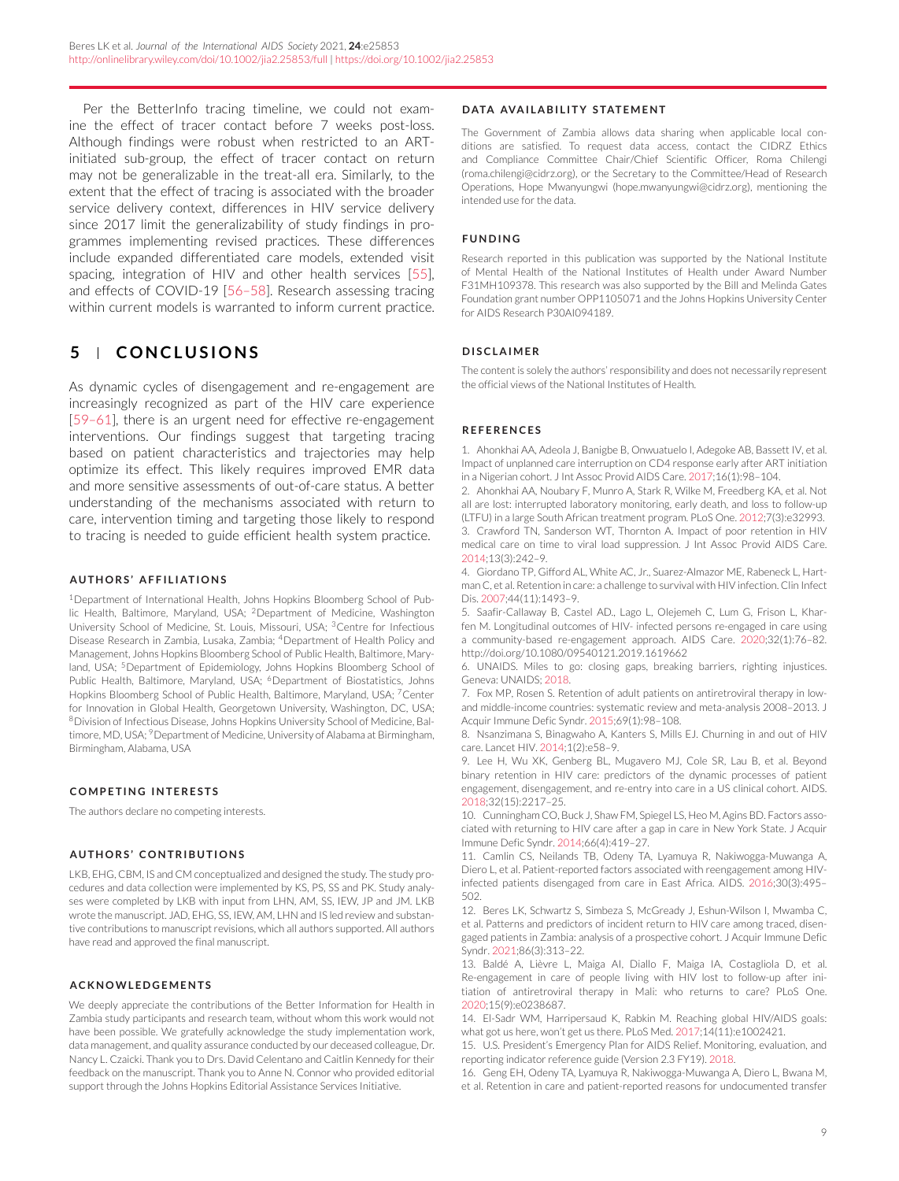<span id="page-8-0"></span>Per the BetterInfo tracing timeline, we could not examine the effect of tracer contact before 7 weeks post-loss. Although findings were robust when restricted to an ARTinitiated sub-group, the effect of tracer contact on return may not be generalizable in the treat-all era. Similarly, to the extent that the effect of tracing is associated with the broader service delivery context, differences in HIV service delivery since 2017 limit the generalizability of study findings in programmes implementing revised practices. These differences include expanded differentiated care models, extended visit spacing, integration of HIV and other health services [\[55\]](#page-9-0), and effects of COVID-19 [\[56–58\]](#page-9-0). Research assessing tracing within current models is warranted to inform current practice.

# **5 CONCLUSIONS**

As dynamic cycles of disengagement and re-engagement are increasingly recognized as part of the HIV care experience [\[59–61\]](#page-10-0), there is an urgent need for effective re-engagement interventions. Our findings suggest that targeting tracing based on patient characteristics and trajectories may help optimize its effect. This likely requires improved EMR data and more sensitive assessments of out-of-care status. A better understanding of the mechanisms associated with return to care, intervention timing and targeting those likely to respond to tracing is needed to guide efficient health system practice.

#### **AUTHORS' AFFILIATIONS**

<sup>1</sup>Department of International Health, Johns Hopkins Bloomberg School of Public Health, Baltimore, Maryland, USA; 2Department of Medicine, Washington University School of Medicine, St. Louis, Missouri, USA; 3Centre for Infectious Disease Research in Zambia, Lusaka, Zambia; 4Department of Health Policy and Management, Johns Hopkins Bloomberg School of Public Health, Baltimore, Maryland, USA; <sup>5</sup>Department of Epidemiology, Johns Hopkins Bloomberg School of Public Health, Baltimore, Maryland, USA; <sup>6</sup>Department of Biostatistics, Johns Hopkins Bloomberg School of Public Health, Baltimore, Maryland, USA; 7Center for Innovation in Global Health, Georgetown University, Washington, DC, USA; 8Division of Infectious Disease, Johns Hopkins University School of Medicine, Baltimore, MD, USA; <sup>9</sup>Department of Medicine, University of Alabama at Birmingham, Birmingham, Alabama, USA

#### **COMPETING INTERESTS**

The authors declare no competing interests.

#### **AUTHORS' CONTRIBUTIONS**

LKB, EHG, CBM, IS and CM conceptualized and designed the study. The study procedures and data collection were implemented by KS, PS, SS and PK. Study analyses were completed by LKB with input from LHN, AM, SS, IEW, JP and JM. LKB wrote the manuscript. JAD, EHG, SS, IEW, AM, LHN and IS led review and substantive contributions to manuscript revisions, which all authors supported. All authors have read and approved the final manuscript.

#### **ACKNOWLEDGEMENTS**

We deeply appreciate the contributions of the Better Information for Health in Zambia study participants and research team, without whom this work would not have been possible. We gratefully acknowledge the study implementation work, data management, and quality assurance conducted by our deceased colleague, Dr. Nancy L. Czaicki. Thank you to Drs. David Celentano and Caitlin Kennedy for their feedback on the manuscript. Thank you to Anne N. Connor who provided editorial support through the Johns Hopkins Editorial Assistance Services Initiative.

#### **DATA AVAILABILITY STATEMENT**

The Government of Zambia allows data sharing when applicable local conditions are satisfied. To request data access, contact the CIDRZ Ethics and Compliance Committee Chair/Chief Scientific Officer, Roma Chilengi (roma.chilengi@cidrz.org), or the Secretary to the Committee/Head of Research Operations, Hope Mwanyungwi (hope.mwanyungwi@cidrz.org), mentioning the intended use for the data.

#### **FUNDING**

Research reported in this publication was supported by the National Institute of Mental Health of the National Institutes of Health under Award Number F31MH109378. This research was also supported by the Bill and Melinda Gates Foundation grant number OPP1105071 and the Johns Hopkins University Center for AIDS Research P30AI094189.

#### **DISCLAIMER**

The content is solely the authors' responsibility and does not necessarily represent the official views of the National Institutes of Health.

#### **REFERENCES**

1. Ahonkhai AA, Adeola J, Banigbe B, Onwuatuelo I, Adegoke AB, Bassett IV, et al. Impact of unplanned care interruption on CD4 response early after ART initiation in a Nigerian cohort. J Int Assoc Provid AIDS Care. 2017;16(1):98–104.

2. Ahonkhai AA, Noubary F, Munro A, Stark R, Wilke M, Freedberg KA, et al. Not all are lost: interrupted laboratory monitoring, early death, and loss to follow-up (LTFU) in a large South African treatment program. PLoS One. 2012;7(3):e32993. 3. Crawford TN, Sanderson WT, Thornton A. Impact of poor retention in HIV medical care on time to viral load suppression. J Int Assoc Provid AIDS Care. 2014;13(3):242–9.

4. Giordano TP, Gifford AL, White AC, Jr., Suarez-Almazor ME, Rabeneck L, Hartman C, et al. Retention in care: a challenge to survival with HIV infection. Clin Infect Dis. 2007;44(11):1493–9.

5. Saafir-Callaway B, Castel AD., Lago L, Olejemeh C, Lum G, Frison L, Kharfen M. Longitudinal outcomes of HIV- infected persons re-engaged in care using a community-based re-engagement approach. AIDS Care. 2020;32(1):76–82. <http://doi.org/10.1080/09540121.2019.1619662>

6. UNAIDS. Miles to go: closing gaps, breaking barriers, righting injustices. Geneva: UNAIDS; 2018.

7. Fox MP, Rosen S. Retention of adult patients on antiretroviral therapy in lowand middle-income countries: systematic review and meta-analysis 2008–2013. J Acquir Immune Defic Syndr. 2015;69(1):98–108.

8. Nsanzimana S, Binagwaho A, Kanters S, Mills EJ. Churning in and out of HIV care. Lancet HIV. 2014;1(2):e58–9.

9. Lee H, Wu XK, Genberg BL, Mugavero MJ, Cole SR, Lau B, et al. Beyond binary retention in HIV care: predictors of the dynamic processes of patient engagement, disengagement, and re-entry into care in a US clinical cohort. AIDS. 2018;32(15):2217–25.

10. Cunningham CO, Buck J, Shaw FM, Spiegel LS, Heo M, Agins BD. Factors associated with returning to HIV care after a gap in care in New York State. J Acquir Immune Defic Syndr. 2014;66(4):419–27.

11. Camlin CS, Neilands TB, Odeny TA, Lyamuya R, Nakiwogga-Muwanga A, Diero L, et al. Patient-reported factors associated with reengagement among HIVinfected patients disengaged from care in East Africa. AIDS. 2016;30(3):495– 502.

12. Beres LK, Schwartz S, Simbeza S, McGready J, Eshun-Wilson I, Mwamba C, et al. Patterns and predictors of incident return to HIV care among traced, disengaged patients in Zambia: analysis of a prospective cohort. J Acquir Immune Defic Syndr. 2021;86(3):313–22.

13. Baldé A, Lièvre L, Maiga AI, Diallo F, Maiga IA, Costagliola D, et al. Re-engagement in care of people living with HIV lost to follow-up after initiation of antiretroviral therapy in Mali: who returns to care? PLoS One. 2020;15(9):e0238687.

14. El-Sadr WM, Harripersaud K, Rabkin M. Reaching global HIV/AIDS goals: what got us here, won't get us there. PLoS Med. 2017;14(11):e1002421.

15. U.S. President's Emergency Plan for AIDS Relief. Monitoring, evaluation, and reporting indicator reference guide (Version 2.3 FY19). 2018.

16. Geng EH, Odeny TA, Lyamuya R, Nakiwogga-Muwanga A, Diero L, Bwana M, et al. Retention in care and patient-reported reasons for undocumented transfer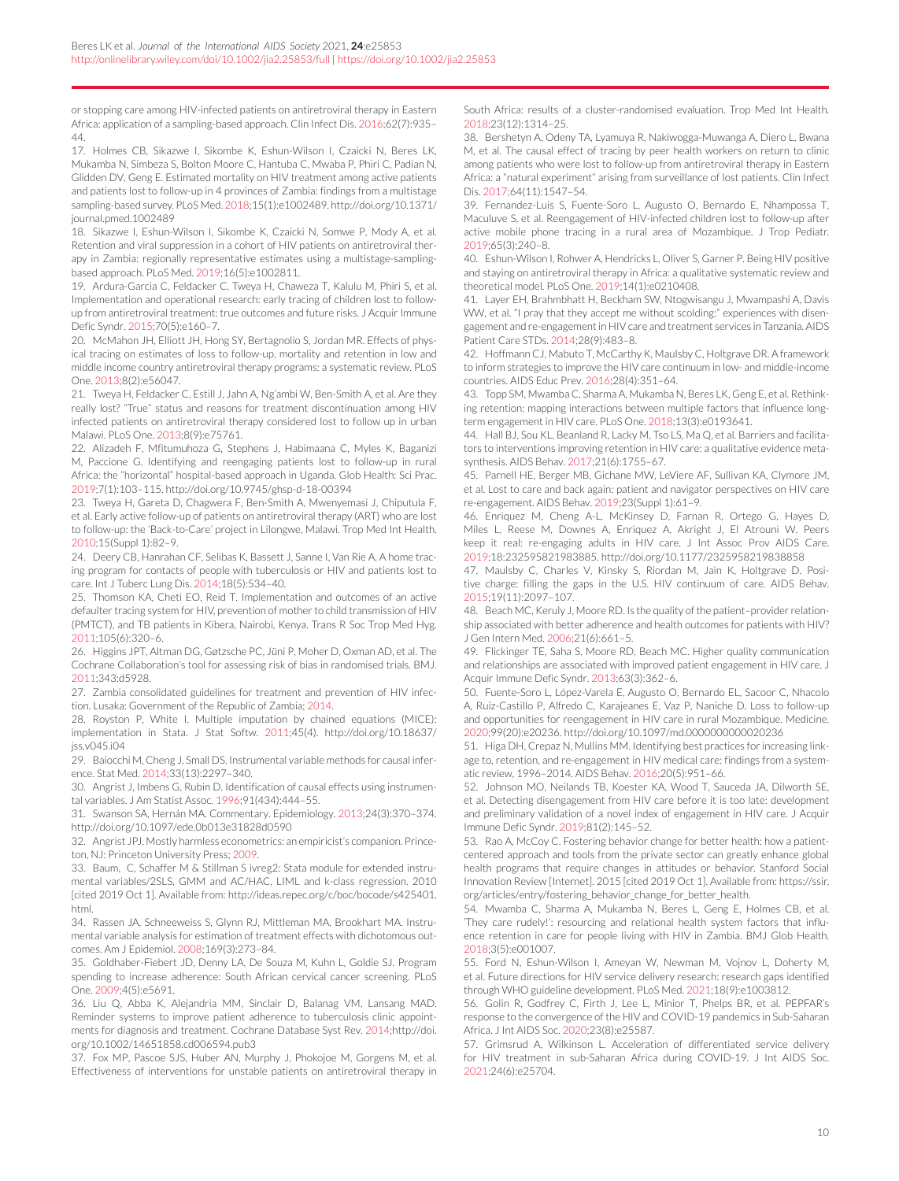<span id="page-9-0"></span>or stopping care among HIV-infected patients on antiretroviral therapy in Eastern Africa: application of a sampling-based approach. Clin Infect Dis. 2016;62(7):935– 44.

17. Holmes CB, Sikazwe I, Sikombe K, Eshun-Wilson I, Czaicki N, Beres LK, Mukamba N, Simbeza S, Bolton Moore C, Hantuba C, Mwaba P, Phiri C, Padian N, Glidden DV, Geng E. Estimated mortality on HIV treatment among active patients and patients lost to follow-up in 4 provinces of Zambia: findings from a multistage sampling-based survey. PLoS Med. 2018;15(1):e1002489[. http://doi.org/10.1371/](http://doi.org/10.1371/journal.pmed.1002489) [journal.pmed.1002489](http://doi.org/10.1371/journal.pmed.1002489)

18. Sikazwe I, Eshun-Wilson I, Sikombe K, Czaicki N, Somwe P, Mody A, et al. Retention and viral suppression in a cohort of HIV patients on antiretroviral therapy in Zambia: regionally representative estimates using a multistage-samplingbased approach. PLoS Med. 2019;16(5):e1002811.

19. Ardura-Garcia C, Feldacker C, Tweya H, Chaweza T, Kalulu M, Phiri S, et al. Implementation and operational research: early tracing of children lost to followup from antiretroviral treatment: true outcomes and future risks. J Acquir Immune Defic Syndr. 2015;70(5):e160–7.

20. McMahon JH, Elliott JH, Hong SY, Bertagnolio S, Jordan MR. Effects of physical tracing on estimates of loss to follow-up, mortality and retention in low and middle income country antiretroviral therapy programs: a systematic review. PLoS One. 2013;8(2):e56047.

21. Tweya H, Feldacker C, Estill J, Jahn A, Ng'ambi W, Ben-Smith A, et al. Are they really lost? "True" status and reasons for treatment discontinuation among HIV infected patients on antiretroviral therapy considered lost to follow up in urban Malawi. PLoS One. 2013;8(9):e75761.

22. Alizadeh F, Mfitumuhoza G, Stephens J, Habimaana C, Myles K, Baganizi M, Paccione G. Identifying and reengaging patients lost to follow-up in rural Africa: the "horizontal" hospital-based approach in Uganda. Glob Health: Sci Prac. 2019;7(1):103–115.<http://doi.org/10.9745/ghsp-d-18-00394>

23. Tweya H, Gareta D, Chagwera F, Ben-Smith A, Mwenyemasi J, Chiputula F, et al. Early active follow-up of patients on antiretroviral therapy (ART) who are lost to follow-up: the 'Back-to-Care' project in Lilongwe, Malawi. Trop Med Int Health. 2010;15(Suppl 1):82–9.

24. Deery CB, Hanrahan CF, Selibas K, Bassett J, Sanne I, Van Rie A. A home tracing program for contacts of people with tuberculosis or HIV and patients lost to care. Int J Tuberc Lung Dis. 2014;18(5):534–40.

25. Thomson KA, Cheti EO, Reid T. Implementation and outcomes of an active defaulter tracing system for HIV, prevention of mother to child transmission of HIV (PMTCT), and TB patients in Kibera, Nairobi, Kenya. Trans R Soc Trop Med Hyg. 2011;105(6):320–6.

26. Higgins JPT, Altman DG, Gøtzsche PC, Jüni P, Moher D, Oxman AD, et al. The Cochrane Collaboration's tool for assessing risk of bias in randomised trials. BMJ. 2011;343:d5928.

27. Zambia consolidated guidelines for treatment and prevention of HIV infection. Lusaka: Government of the Republic of Zambia; 2014.

28. Royston P, White I. Multiple imputation by chained equations (MICE): implementation in Stata. J Stat Softw. 2011;45(4). [http://doi.org/10.18637/](http://doi.org/10.18637/jss.v045.i04) [jss.v045.i04](http://doi.org/10.18637/jss.v045.i04)

29. Baiocchi M, Cheng J, Small DS. Instrumental variable methods for causal inference. Stat Med. 2014;33(13):2297–340.

30. Angrist J, Imbens G, Rubin D. Identification of causal effects using instrumental variables. J Am Statist Assoc. 1996;91(434):444–55.

31. Swanson SA, Hernán MA. Commentary. Epidemiology. 2013;24(3):370–374. <http://doi.org/10.1097/ede.0b013e31828d0590>

32. Angrist JPJ. Mostly harmless econometrics: an empiricist's companion. Princeton, NJ: Princeton University Press; 2009.

33. Baum, C, Schaffer M & Stillman S ivreg2: Stata module for extended instrumental variables/2SLS, GMM and AC/HAC, LIML and k-class regression. 2010 [cited 2019 Oct 1]. Available from: [http://ideas.repec.org/c/boc/bocode/s425401.](http://ideas.repec.org/c/boc/bocode/s425401.html) [html.](http://ideas.repec.org/c/boc/bocode/s425401.html)

34. Rassen JA, Schneeweiss S, Glynn RJ, Mittleman MA, Brookhart MA. Instrumental variable analysis for estimation of treatment effects with dichotomous outcomes. Am J Epidemiol. 2008;169(3):273–84.

35. Goldhaber-Fiebert JD, Denny LA, De Souza M, Kuhn L, Goldie SJ. Program spending to increase adherence: South African cervical cancer screening. PLoS One. 2009;4(5):e5691.

36. Liu Q, Abba K, Alejandria MM, Sinclair D, Balanag VM, Lansang MAD. Reminder systems to improve patient adherence to tuberculosis clinic appointments for diagnosis and treatment. Cochrane Database Syst Rev. 2014[;http://doi.](http://doi.org/10.1002/14651858.cd006594.pub3) [org/10.1002/14651858.cd006594.pub3](http://doi.org/10.1002/14651858.cd006594.pub3)

37. Fox MP, Pascoe SJS, Huber AN, Murphy J, Phokojoe M, Gorgens M, et al. Effectiveness of interventions for unstable patients on antiretroviral therapy in South Africa: results of a cluster-randomised evaluation. Trop Med Int Health. 2018;23(12):1314–25.

38. Bershetyn A, Odeny TA, Lyamuya R, Nakiwogga-Muwanga A, Diero L, Bwana M, et al. The causal effect of tracing by peer health workers on return to clinic among patients who were lost to follow-up from antiretroviral therapy in Eastern Africa: a "natural experiment" arising from surveillance of lost patients. Clin Infect Dis. 2017;64(11):1547–54.

39. Fernandez-Luis S, Fuente-Soro L, Augusto O, Bernardo E, Nhampossa T, Maculuve S, et al. Reengagement of HIV-infected children lost to follow-up after active mobile phone tracing in a rural area of Mozambique. J Trop Pediatr. 2019;65(3):240–8.

40. Eshun-Wilson I, Rohwer A, Hendricks L, Oliver S, Garner P. Being HIV positive and staying on antiretroviral therapy in Africa: a qualitative systematic review and theoretical model. PLoS One. 2019;14(1):e0210408.

41. Layer EH, Brahmbhatt H, Beckham SW, Ntogwisangu J, Mwampashi A, Davis WW, et al. "I pray that they accept me without scolding:" experiences with disengagement and re-engagement in HIV care and treatment services in Tanzania. AIDS Patient Care STDs. 2014;28(9):483–8.

42. Hoffmann CJ, Mabuto T, McCarthy K, Maulsby C, Holtgrave DR. A framework to inform strategies to improve the HIV care continuum in low- and middle-income countries. AIDS Educ Prev. 2016;28(4):351–64.

43. Topp SM, Mwamba C, Sharma A, Mukamba N, Beres LK, Geng E, et al. Rethinking retention: mapping interactions between multiple factors that influence longterm engagement in HIV care. PLoS One. 2018;13(3):e0193641.

44. Hall BJ, Sou KL, Beanland R, Lacky M, Tso LS, Ma Q, et al. Barriers and facilitators to interventions improving retention in HIV care: a qualitative evidence metasynthesis. AIDS Behav. 2017;21(6):1755–67.

45. Parnell HE, Berger MB, Gichane MW, LeViere AF, Sullivan KA, Clymore JM, et al. Lost to care and back again: patient and navigator perspectives on HIV care re-engagement. AIDS Behav. 2019;23(Suppl 1):61–9.

46. Enriquez M, Cheng A-L, McKinsey D, Farnan R, Ortego G, Hayes D, Miles L, Reese M, Downes A, Enriquez A, Akright J, El Atrouni W. Peers keep it real: re-engaging adults in HIV care. J Int Assoc Prov AIDS Care. 2019;18:232595821983885.<http://doi.org/10.1177/2325958219838858>

47. Maulsby C, Charles V, Kinsky S, Riordan M, Jain K, Holtgrave D. Positive charge: filling the gaps in the U.S. HIV continuum of care. AIDS Behav. 2015;19(11):2097–107.

48. Beach MC, Keruly J, Moore RD. Is the quality of the patient–provider relationship associated with better adherence and health outcomes for patients with HIV? J Gen Intern Med. 2006;21(6):661–5.

49. Flickinger TE, Saha S, Moore RD, Beach MC. Higher quality communication and relationships are associated with improved patient engagement in HIV care. J Acquir Immune Defic Syndr. 2013;63(3):362–6.

50. Fuente-Soro L, López-Varela E, Augusto O, Bernardo EL, Sacoor C, Nhacolo A, Ruiz-Castillo P, Alfredo C, Karajeanes E, Vaz P, Naniche D. Loss to follow-up and opportunities for reengagement in HIV care in rural Mozambique. Medicine. 2020;99(20):e20236.<http://doi.org/10.1097/md.0000000000020236>

51. Higa DH, Crepaz N, Mullins MM. Identifying best practices for increasing linkage to, retention, and re-engagement in HIV medical care: findings from a systematic review, 1996–2014. AIDS Behav. 2016;20(5):951–66.

52. Johnson MO, Neilands TB, Koester KA, Wood T, Sauceda JA, Dilworth SE, et al. Detecting disengagement from HIV care before it is too late: development and preliminary validation of a novel index of engagement in HIV care. J Acquir Immune Defic Syndr. 2019;81(2):145–52.

53. Rao A, McCoy C. Fostering behavior change for better health: how a patientcentered approach and tools from the private sector can greatly enhance global health programs that require changes in attitudes or behavior. Stanford Social Innovation Review [Internet]. 2015 [cited 2019 Oct 1]. Available from: [https://ssir.](https://ssir.org/articles/entry/fostering_behavior_change_for_better_health) [org/articles/entry/fostering\\_behavior\\_change\\_for\\_better\\_health.](https://ssir.org/articles/entry/fostering_behavior_change_for_better_health)

54. Mwamba C, Sharma A, Mukamba N, Beres L, Geng E, Holmes CB, et al. 'They care rudely!': resourcing and relational health system factors that influence retention in care for people living with HIV in Zambia. BMJ Glob Health. 2018;3(5):e001007.

55. Ford N, Eshun-Wilson I, Ameyan W, Newman M, Vojnov L, Doherty M, et al. Future directions for HIV service delivery research: research gaps identified through WHO guideline development. PLoS Med. 2021;18(9):e1003812.

56. Golin R, Godfrey C, Firth J, Lee L, Minior T, Phelps BR, et al. PEPFAR's response to the convergence of the HIV and COVID-19 pandemics in Sub-Saharan Africa. J Int AIDS Soc. 2020;23(8):e25587.

57. Grimsrud A, Wilkinson L. Acceleration of differentiated service delivery for HIV treatment in sub-Saharan Africa during COVID-19. J Int AIDS Soc. 2021;24(6):e25704.